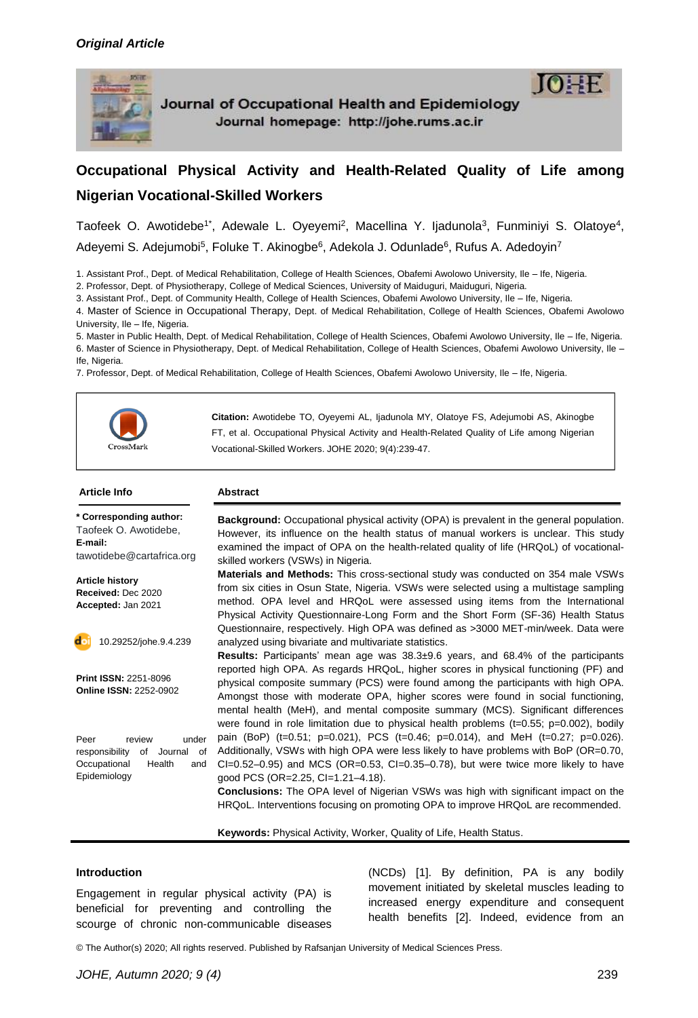

Journal of Occupational Health and Epidemiology Journal homepage: http://johe.rums.ac.ir

# **Occupational Physical Activity and Health-Related Quality of Life among Nigerian Vocational-Skilled Workers**

Taofeek O. Awotidebe<sup>1\*</sup>, Adewale L. Oyeyemi<sup>2</sup>, Macellina Y. Ijadunola<sup>3</sup>, Funminiyi S. Olatoye<sup>4</sup>, Adeyemi S. Adejumobi<sup>5</sup>, Foluke T. Akinogbe<sup>6</sup>, Adekola J. Odunlade<sup>6</sup>, Rufus A. Adedoyin<sup>7</sup>

1. Assistant Prof., Dept. of Medical Rehabilitation, College of Health Sciences, Obafemi Awolowo University, Ile – Ife, Nigeria.

2. Professor, Dept. of Physiotherapy, College of Medical Sciences, University of Maiduguri, Maiduguri, Nigeria.

3. Assistant Prof., Dept. of Community Health, College of Health Sciences, Obafemi Awolowo University, Ile – Ife, Nigeria.

4. Master of Science in Occupational Therapy, Dept. of Medical Rehabilitation, College of Health Sciences, Obafemi Awolowo University, Ile – Ife, Nigeria.

5. Master in Public Health, Dept. of Medical Rehabilitation, College of Health Sciences, Obafemi Awolowo University, Ile – Ife, Nigeria. 6. Master of Science in Physiotherapy, Dept. of Medical Rehabilitation, College of Health Sciences, Obafemi Awolowo University, Ile – Ife, Nigeria.

7. Professor, Dept. of Medical Rehabilitation, College of Health Sciences, Obafemi Awolowo University, Ile – Ife, Nigeria.



**Citation:** Awotidebe TO, Oyeyemi AL, Ijadunola MY, Olatoye FS, Adejumobi AS, Akinogbe FT, et al. Occupational Physical Activity and Health-Related Quality of Life among Nigerian Vocational-Skilled Workers. JOHE 2020; 9(4):239-47.

#### **Article Info Abstract Background:** Occupational physical activity (OPA) is prevalent in the general population. However, its influence on the health status of manual workers is unclear. This study examined the impact of OPA on the health-related quality of life (HRQoL) of vocationalskilled workers (VSWs) in Nigeria. **Materials and Methods:** This cross-sectional study was conducted on 354 male VSWs from six cities in Osun State, Nigeria. VSWs were selected using a multistage sampling method. OPA level and HRQoL were assessed using items from the International Physical Activity Questionnaire-Long Form and the Short Form (SF-36) Health Status Questionnaire, respectively. High OPA was defined as >3000 MET-min/week. Data were analyzed using bivariate and multivariate statistics. **Results:** Participants' mean age was 38.3±9.6 years, and 68.4% of the participants reported high OPA. As regards HRQoL, higher scores in physical functioning (PF) and physical composite summary (PCS) were found among the participants with high OPA. Amongst those with moderate OPA, higher scores were found in social functioning, mental health (MeH), and mental composite summary (MCS). Significant differences were found in role limitation due to physical health problems  $(t=0.55; p=0.002)$ , bodily pain (BoP) (t=0.51; p=0.021), PCS (t=0.46; p=0.014), and MeH (t=0.27; p=0.026). Additionally, VSWs with high OPA were less likely to have problems with BoP (OR=0.70,  $Cl=0.52-0.95$ ) and MCS (OR=0.53, CI=0.35-0.78), but were twice more likely to have good PCS (OR=2.25, CI=1.21–4.18). **Conclusions:** The OPA level of Nigerian VSWs was high with significant impact on the HRQoL. Interventions focusing on promoting OPA to improve HRQoL are recommended. **Keywords:** Physical Activity, Worker, Quality of Life, Health Status. **\* Corresponding author:** Taofeek O. Awotidebe, **E-mail:** [tawotidebe@cartafrica.org](mailto:;%20tawotidebe@cartafrica.org) **Article history Received:** Dec 2020 **Accepted:** Jan 2021 **Print ISSN:** 2251-8096 **Online ISSN:** 2252-0902 Peer review under responsibility of Journal of Occupational Health and Epidemiology 10.29252/johe.9.4.239

#### **Introduction**

Engagement in regular physical activity (PA) is beneficial for preventing and controlling the scourge of chronic non-communicable diseases

(NCDs) [1]. By definition, PA is any bodily movement initiated by skeletal muscles leading to increased energy expenditure and consequent health benefits [2]. Indeed, evidence from an

© The Author(s) 2020; All rights reserved. Published by Rafsanjan University of Medical Sciences Press.

 $10 \pm F$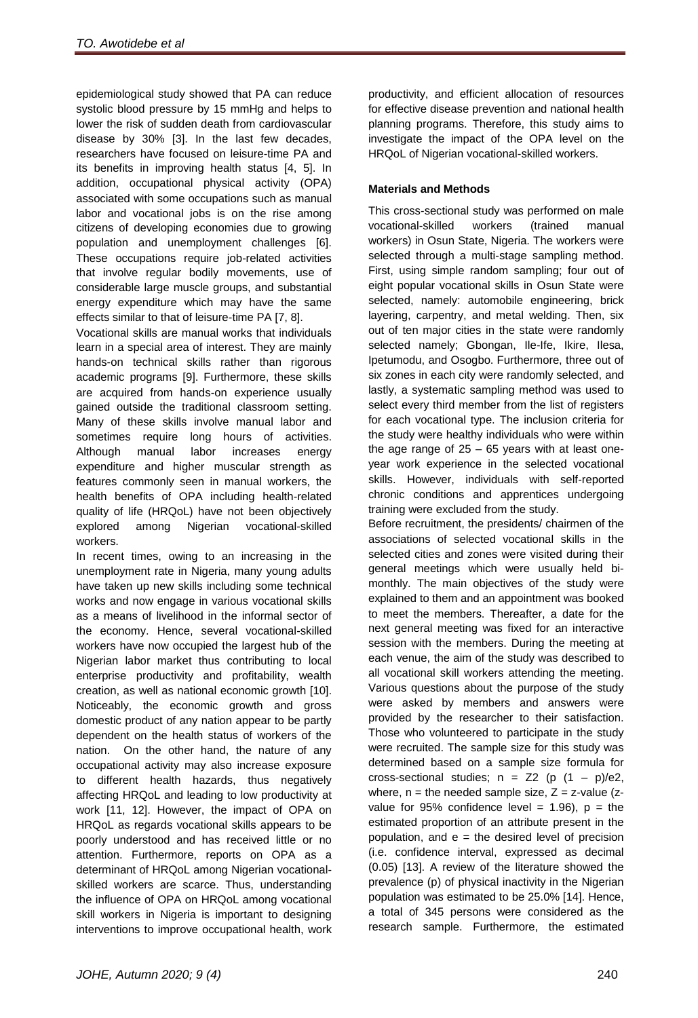epidemiological study showed that PA can reduce systolic blood pressure by 15 mmHg and helps to lower the risk of sudden death from cardiovascular disease by 30% [3]. In the last few decades, researchers have focused on leisure-time PA and its benefits in improving health status [4, 5]. In addition, occupational physical activity (OPA) associated with some occupations such as manual labor and vocational jobs is on the rise among citizens of developing economies due to growing population and unemployment challenges [6]. These occupations require job-related activities that involve regular bodily movements, use of considerable large muscle groups, and substantial energy expenditure which may have the same effects similar to that of leisure-time PA [7, 8].

Vocational skills are manual works that individuals learn in a special area of interest. They are mainly hands-on technical skills rather than rigorous academic programs [9]. Furthermore, these skills are acquired from hands-on experience usually gained outside the traditional classroom setting. Many of these skills involve manual labor and sometimes require long hours of activities. Although manual labor increases energy expenditure and higher muscular strength as features commonly seen in manual workers, the health benefits of OPA including health-related quality of life (HRQoL) have not been objectively explored among Nigerian vocational-skilled workers.

In recent times, owing to an increasing in the unemployment rate in Nigeria, many young adults have taken up new skills including some technical works and now engage in various vocational skills as a means of livelihood in the informal sector of the economy. Hence, several vocational-skilled workers have now occupied the largest hub of the Nigerian labor market thus contributing to local enterprise productivity and profitability, wealth creation, as well as national economic growth [10]. Noticeably, the economic growth and gross domestic product of any nation appear to be partly dependent on the health status of workers of the nation. On the other hand, the nature of any occupational activity may also increase exposure to different health hazards, thus negatively affecting HRQoL and leading to low productivity at work [11, 12]. However, the impact of OPA on HRQoL as regards vocational skills appears to be poorly understood and has received little or no attention. Furthermore, reports on OPA as a determinant of HRQoL among Nigerian vocationalskilled workers are scarce. Thus, understanding the influence of OPA on HRQoL among vocational skill workers in Nigeria is important to designing interventions to improve occupational health, work

productivity, and efficient allocation of resources for effective disease prevention and national health planning programs. Therefore, this study aims to investigate the impact of the OPA level on the HRQoL of Nigerian vocational-skilled workers.

## **Materials and Methods**

This cross-sectional study was performed on male vocational-skilled workers (trained manual workers) in Osun State, Nigeria. The workers were selected through a multi-stage sampling method. First, using simple random sampling; four out of eight popular vocational skills in Osun State were selected, namely: automobile engineering, brick layering, carpentry, and metal welding. Then, six out of ten major cities in the state were randomly selected namely; Gbongan, Ile-Ife, Ikire, Ilesa, Ipetumodu, and Osogbo. Furthermore, three out of six zones in each city were randomly selected, and lastly, a systematic sampling method was used to select every third member from the list of registers for each vocational type. The inclusion criteria for the study were healthy individuals who were within the age range of 25 – 65 years with at least oneyear work experience in the selected vocational skills. However, individuals with self-reported chronic conditions and apprentices undergoing training were excluded from the study.

Before recruitment, the presidents/ chairmen of the associations of selected vocational skills in the selected cities and zones were visited during their general meetings which were usually held bimonthly. The main objectives of the study were explained to them and an appointment was booked to meet the members. Thereafter, a date for the next general meeting was fixed for an interactive session with the members. During the meeting at each venue, the aim of the study was described to all vocational skill workers attending the meeting. Various questions about the purpose of the study were asked by members and answers were provided by the researcher to their satisfaction. Those who volunteered to participate in the study were recruited. The sample size for this study was determined based on a sample size formula for cross-sectional studies;  $n = Z2$  (p  $(1 - p)/e2$ , where,  $n =$  the needed sample size,  $Z = z$ -value (zvalue for 95% confidence level = 1.96),  $p = the$ estimated proportion of an attribute present in the population, and  $e =$  the desired level of precision (i.e. confidence interval, expressed as decimal (0.05) [13]. A review of the literature showed the prevalence (p) of physical inactivity in the Nigerian population was estimated to be 25.0% [14]. Hence, a total of 345 persons were considered as the research sample. Furthermore, the estimated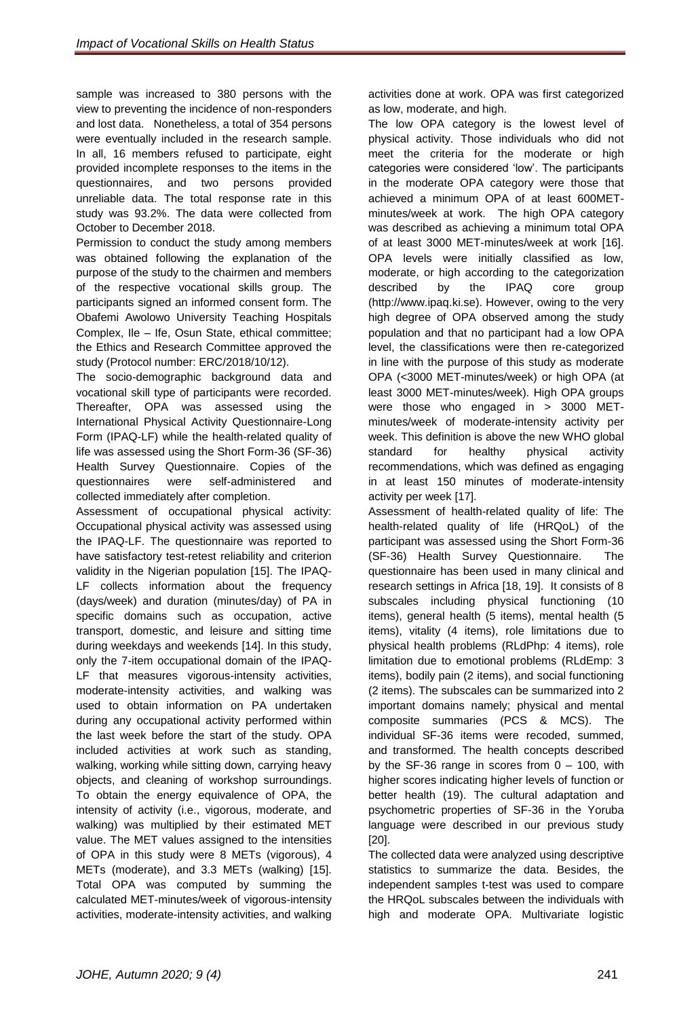sample was increased to 380 persons with the view to preventing the incidence of non-responders and lost data. Nonetheless, a total of 354 persons were eventually included in the research sample. In all, 16 members refused to participate, eight provided incomplete responses to the items in the questionnaires, and two persons provided unreliable data. The total response rate in this study was 93.2%. The data were collected from October to December 2018.

Permission to conduct the study among members was obtained following the explanation of the purpose of the study to the chairmen and members of the respective vocational skills group. The participants signed an informed consent form. The Obafemi Awolowo University Teaching Hospitals Complex, Ile – Ife, Osun State, ethical committee; the Ethics and Research Committee approved the study (Protocol number: ERC/2018/10/12).

The socio-demographic background data and vocational skill type of participants were recorded. Thereafter, OPA was assessed using the International Physical Activity Questionnaire-Long Form (IPAQ-LF) while the health-related quality of life was assessed using the Short Form-36 (SF-36) Health Survey Questionnaire. Copies of the questionnaires were self-administered and collected immediately after completion.

Assessment of occupational physical activity: Occupational physical activity was assessed using the IPAQ-LF. The questionnaire was reported to have satisfactory test-retest reliability and criterion validity in the Nigerian population [15]. The IPAQ-LF collects information about the frequency (days/week) and duration (minutes/day) of PA in specific domains such as occupation, active transport, domestic, and leisure and sitting time during weekdays and weekends [14]. In this study, only the 7-item occupational domain of the IPAQ-LF that measures vigorous-intensity activities, moderate-intensity activities, and walking was used to obtain information on PA undertaken during any occupational activity performed within the last week before the start of the study. OPA included activities at work such as standing, walking, working while sitting down, carrying heavy objects, and cleaning of workshop surroundings. To obtain the energy equivalence of OPA, the intensity of activity (i.e., vigorous, moderate, and walking) was multiplied by their estimated MET value. The MET values assigned to the intensities of OPA in this study were 8 METs (vigorous), 4 METs (moderate), and 3.3 METs (walking) [15]. Total OPA was computed by summing the calculated MET-minutes/week of vigorous-intensity activities, moderate-intensity activities, and walking

activities done at work. OPA was first categorized as low, moderate, and high.

The low OPA category is the lowest level of physical activity. Those individuals who did not meet the criteria for the moderate or high categories were considered 'low'. The participants in the moderate OPA category were those that achieved a minimum OPA of at least 600METminutes/week at work. The high OPA category was described as achieving a minimum total OPA of at least 3000 MET-minutes/week at work [16]. OPA levels were initially classified as low, moderate, or high according to the categorization described by the IPAQ core group (http://www.ipaq.ki.se). However, owing to the very high degree of OPA observed among the study population and that no participant had a low OPA level, the classifications were then re-categorized in line with the purpose of this study as moderate OPA (<3000 MET-minutes/week) or high OPA (at least 3000 MET-minutes/week). High OPA groups were those who engaged in > 3000 METminutes/week of moderate-intensity activity per week. This definition is above the new WHO global standard for healthy physical activity recommendations, which was defined as engaging in at least 150 minutes of moderate-intensity activity per week [17].

Assessment of health-related quality of life: The health-related quality of life (HRQoL) of the participant was assessed using the Short Form-36 (SF-36) Health Survey Questionnaire. The questionnaire has been used in many clinical and research settings in Africa [18, 19]. It consists of 8 subscales including physical functioning (10 items), general health (5 items), mental health (5 items), vitality (4 items), role limitations due to physical health problems (RLdPhp: 4 items), role limitation due to emotional problems (RLdEmp: 3 items), bodily pain (2 items), and social functioning (2 items). The subscales can be summarized into 2 important domains namely; physical and mental composite summaries (PCS & MCS). The individual SF-36 items were recoded, summed, and transformed. The health concepts described by the SF-36 range in scores from  $0 - 100$ , with higher scores indicating higher levels of function or better health (19). The cultural adaptation and psychometric properties of SF-36 in the Yoruba language were described in our previous study [20].

The collected data were analyzed using descriptive statistics to summarize the data. Besides, the independent samples t-test was used to compare the HRQoL subscales between the individuals with high and moderate OPA. Multivariate logistic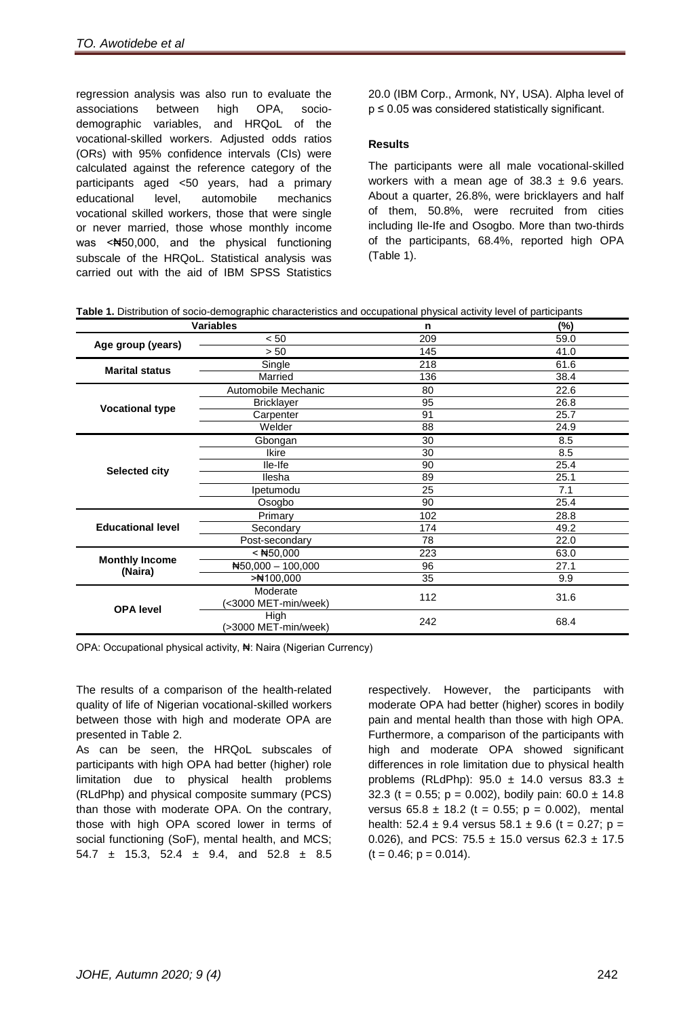regression analysis was also run to evaluate the associations between high OPA, sociodemographic variables, and HRQoL of the vocational-skilled workers. Adjusted odds ratios (ORs) with 95% confidence intervals (CIs) were calculated against the reference category of the participants aged <50 years, had a primary educational level, automobile mechanics vocational skilled workers, those that were single or never married, those whose monthly income was <Nestbota, 000, and the physical functioning subscale of the HRQoL. Statistical analysis was carried out with the aid of IBM SPSS Statistics

20.0 (IBM Corp., Armonk, NY, USA). Alpha level of  $p \le 0.05$  was considered statistically significant.

#### **Results**

The participants were all male vocational-skilled workers with a mean age of  $38.3 \pm 9.6$  years. About a quarter, 26.8%, were bricklayers and half of them, 50.8%, were recruited from cities including Ile-Ife and Osogbo. More than two-thirds of the participants, 68.4%, reported high OPA (Table 1).

**Table 1.** Distribution of socio-demographic characteristics and occupational physical activity level of participants

| <b>Variables</b>         |                            | $\mathbf n$ | (%)  |  |
|--------------------------|----------------------------|-------------|------|--|
| Age group (years)        | < 50                       | 209         | 59.0 |  |
|                          | > 50                       | 145         | 41.0 |  |
| <b>Marital status</b>    | Single                     | 218         | 61.6 |  |
|                          | Married                    | 136         | 38.4 |  |
|                          | Automobile Mechanic        | 80          | 22.6 |  |
|                          | <b>Bricklayer</b>          | 95          | 26.8 |  |
| <b>Vocational type</b>   | Carpenter                  | 91          | 25.7 |  |
|                          | Welder                     | 88          | 24.9 |  |
|                          | Gbongan                    | 30          | 8.5  |  |
|                          | <b>Ikire</b>               | 30          | 8.5  |  |
| <b>Selected city</b>     | lle-Ife                    | 90          | 25.4 |  |
|                          | llesha                     | 89          | 25.1 |  |
|                          | Ipetumodu                  | 25          | 7.1  |  |
|                          | Osogbo                     | 90          | 25.4 |  |
|                          | Primary                    | 102         | 28.8 |  |
| <b>Educational level</b> | Secondary                  | 174         | 49.2 |  |
|                          | Post-secondary             | 78          | 22.0 |  |
|                          | $<$ #50,000                | 223         | 63.0 |  |
| <b>Monthly Income</b>    | $\text{H}50,000 - 100,000$ | 96          | 27.1 |  |
| (Naira)                  | $>$ #100,000               | 35          | 9.9  |  |
| <b>OPA level</b>         | Moderate                   | 112         | 31.6 |  |
|                          | (<3000 MET-min/week)       |             |      |  |
|                          | High                       | 242         | 68.4 |  |
|                          | (>3000 MET-min/week)       |             |      |  |

OPA: Occupational physical activity, ₦: Naira (Nigerian Currency)

The results of a comparison of the health-related quality of life of Nigerian vocational-skilled workers between those with high and moderate OPA are presented in Table 2.

As can be seen, the HRQoL subscales of participants with high OPA had better (higher) role limitation due to physical health problems (RLdPhp) and physical composite summary (PCS) than those with moderate OPA. On the contrary, those with high OPA scored lower in terms of social functioning (SoF), mental health, and MCS; 54.7  $\pm$  15.3, 52.4  $\pm$  9.4, and 52.8  $\pm$  8.5

respectively. However, the participants with moderate OPA had better (higher) scores in bodily pain and mental health than those with high OPA. Furthermore, a comparison of the participants with high and moderate OPA showed significant differences in role limitation due to physical health problems (RLdPhp):  $95.0 \pm 14.0$  versus 83.3  $\pm$ 32.3 (t = 0.55;  $p = 0.002$ ), bodily pain:  $60.0 \pm 14.8$ versus  $65.8 \pm 18.2$  (t = 0.55; p = 0.002), mental health:  $52.4 \pm 9.4$  versus  $58.1 \pm 9.6$  (t = 0.27; p = 0.026), and PCS: 75.5  $\pm$  15.0 versus 62.3  $\pm$  17.5  $(t = 0.46; p = 0.014).$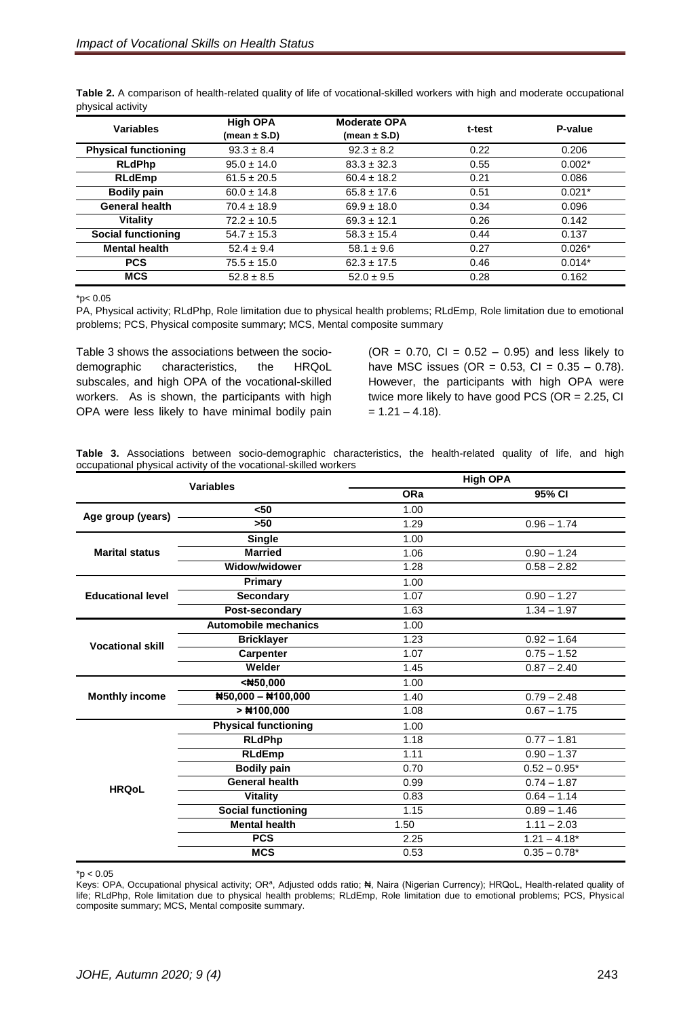| <b>Variables</b>            | <b>High OPA</b><br>(mean $\pm$ S.D) | <b>Moderate OPA</b><br>(mean $\pm$ S.D) | t-test | P-value  |
|-----------------------------|-------------------------------------|-----------------------------------------|--------|----------|
| <b>Physical functioning</b> | $93.3 \pm 8.4$                      | $92.3 \pm 8.2$                          | 0.22   | 0.206    |
| <b>RLdPhp</b>               | $95.0 \pm 14.0$                     | $83.3 \pm 32.3$                         | 0.55   | $0.002*$ |
| <b>RLdEmp</b>               | $61.5 \pm 20.5$                     | $60.4 \pm 18.2$                         | 0.21   | 0.086    |
| <b>Bodily pain</b>          | $60.0 \pm 14.8$                     | $65.8 \pm 17.6$                         | 0.51   | $0.021*$ |
| <b>General health</b>       | $70.4 \pm 18.9$                     | $69.9 \pm 18.0$                         | 0.34   | 0.096    |
| <b>Vitality</b>             | $72.2 \pm 10.5$                     | $69.3 \pm 12.1$                         | 0.26   | 0.142    |
| <b>Social functioning</b>   | $54.7 \pm 15.3$                     | $58.3 \pm 15.4$                         | 0.44   | 0.137    |
| <b>Mental health</b>        | $52.4 \pm 9.4$                      | $58.1 \pm 9.6$                          | 0.27   | $0.026*$ |
| <b>PCS</b>                  | $75.5 \pm 15.0$                     | $62.3 \pm 17.5$                         | 0.46   | $0.014*$ |
| <b>MCS</b>                  | $52.8 \pm 8.5$                      | $52.0 \pm 9.5$                          | 0.28   | 0.162    |

**Table 2.** A comparison of health-related quality of life of vocational-skilled workers with high and moderate occupational physical activity

 $*p$  < 0.05

PA, Physical activity; RLdPhp, Role limitation due to physical health problems; RLdEmp, Role limitation due to emotional problems; PCS, Physical composite summary; MCS, Mental composite summary

Table 3 shows the associations between the sociodemographic characteristics, the HRQoL subscales, and high OPA of the vocational-skilled workers. As is shown, the participants with high OPA were less likely to have minimal bodily pain  $(OR = 0.70, Cl = 0.52 - 0.95)$  and less likely to have MSC issues (OR =  $0.53$ , CI =  $0.35 - 0.78$ ). However, the participants with high OPA were twice more likely to have good PCS (OR = 2.25, CI  $= 1.21 - 4.18$ .

**Table 3.** Associations between socio-demographic characteristics, the health-related quality of life, and high occupational physical activity of the vocational-skilled workers

| <b>Variables</b>         |                             | <b>High OPA</b> |                |  |
|--------------------------|-----------------------------|-----------------|----------------|--|
|                          |                             | ORa             | 95% CI         |  |
| Age group (years)        | $50$                        | 1.00            |                |  |
|                          | $>50$                       | 1.29            | $0.96 - 1.74$  |  |
| <b>Marital status</b>    | <b>Single</b>               | 1.00            |                |  |
|                          | <b>Married</b>              | 1.06            | $0.90 - 1.24$  |  |
|                          | Widow/widower               | 1.28            | $0.58 - 2.82$  |  |
|                          | Primary                     | 1.00            |                |  |
| <b>Educational level</b> | <b>Secondary</b>            | 1.07            | $0.90 - 1.27$  |  |
|                          | Post-secondary              | 1.63            | $1.34 - 1.97$  |  |
| <b>Vocational skill</b>  | <b>Automobile mechanics</b> | 1.00            |                |  |
|                          | <b>Bricklayer</b>           | 1.23            | $0.92 - 1.64$  |  |
|                          | <b>Carpenter</b>            | 1.07            | $0.75 - 1.52$  |  |
|                          | Welder                      | 1.45            | $0.87 - 2.40$  |  |
| <b>Monthly income</b>    | <#50,000                    | 1.00            |                |  |
|                          | #50,000 - #100,000          | 1.40            | $0.79 - 2.48$  |  |
|                          | $>$ #100,000                | 1.08            | $0.67 - 1.75$  |  |
| <b>HRQoL</b>             | <b>Physical functioning</b> | 1.00            |                |  |
|                          | <b>RLdPhp</b>               | 1.18            | $0.77 - 1.81$  |  |
|                          | <b>RLdEmp</b>               | 1.11            | $0.90 - 1.37$  |  |
|                          | <b>Bodily pain</b>          | 0.70            | $0.52 - 0.95*$ |  |
|                          | <b>General health</b>       | 0.99            | $0.74 - 1.87$  |  |
|                          | <b>Vitality</b>             | 0.83            | $0.64 - 1.14$  |  |
|                          | <b>Social functioning</b>   | 1.15            | $0.89 - 1.46$  |  |
|                          | <b>Mental health</b>        | 1.50            | $1.11 - 2.03$  |  |
|                          | <b>PCS</b>                  | 2.25            | $1.21 - 4.18*$ |  |
|                          | <b>MCS</b>                  | 0.53            | $0.35 - 0.78*$ |  |

 $*p < 0.05$ 

Keys: OPA, Occupational physical activity; OR<sup>a</sup>, Adjusted odds ratio; N, Naira (Nigerian Currency); HRQoL, Health-related quality of life; RLdPhp, Role limitation due to physical health problems; RLdEmp, Role limitation due to emotional problems; PCS, Physical composite summary; MCS, Mental composite summary.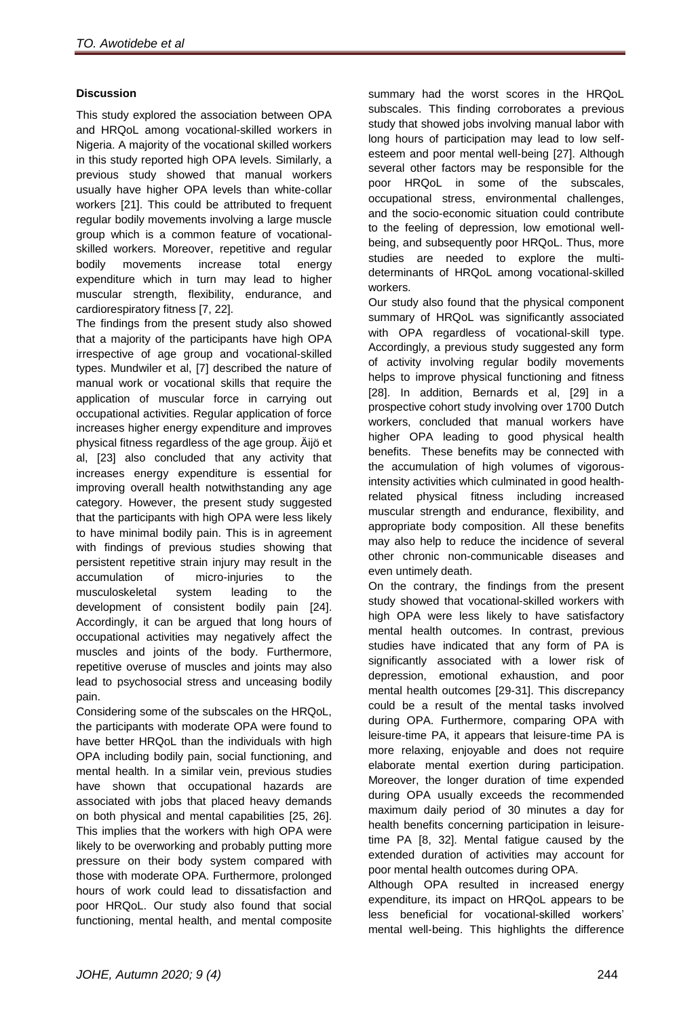#### **Discussion**

This study explored the association between OPA and HRQoL among vocational-skilled workers in Nigeria. A majority of the vocational skilled workers in this study reported high OPA levels. Similarly, a previous study showed that manual workers usually have higher OPA levels than white-collar workers [21]. This could be attributed to frequent regular bodily movements involving a large muscle group which is a common feature of vocationalskilled workers. Moreover, repetitive and regular bodily movements increase total energy expenditure which in turn may lead to higher muscular strength, flexibility, endurance, and cardiorespiratory fitness [7, 22].

The findings from the present study also showed that a majority of the participants have high OPA irrespective of age group and vocational-skilled types. Mundwiler et al, [7] described the nature of manual work or vocational skills that require the application of muscular force in carrying out occupational activities. Regular application of force increases higher energy expenditure and improves physical fitness regardless of the age group. Äijö et al, [23] also concluded that any activity that increases energy expenditure is essential for improving overall health notwithstanding any age category. However, the present study suggested that the participants with high OPA were less likely to have minimal bodily pain. This is in agreement with findings of previous studies showing that persistent repetitive strain injury may result in the accumulation of micro-injuries to the musculoskeletal system leading to the development of consistent bodily pain [24]. Accordingly, it can be argued that long hours of occupational activities may negatively affect the muscles and joints of the body. Furthermore, repetitive overuse of muscles and joints may also lead to psychosocial stress and unceasing bodily pain.

Considering some of the subscales on the HRQoL, the participants with moderate OPA were found to have better HRQoL than the individuals with high OPA including bodily pain, social functioning, and mental health. In a similar vein, previous studies have shown that occupational hazards are associated with jobs that placed heavy demands on both physical and mental capabilities [25, 26]. This implies that the workers with high OPA were likely to be overworking and probably putting more pressure on their body system compared with those with moderate OPA. Furthermore, prolonged hours of work could lead to dissatisfaction and poor HRQoL. Our study also found that social functioning, mental health, and mental composite

summary had the worst scores in the HRQoL subscales. This finding corroborates a previous study that showed jobs involving manual labor with long hours of participation may lead to low selfesteem and poor mental well-being [27]. Although several other factors may be responsible for the poor HRQoL in some of the subscales, occupational stress, environmental challenges, and the socio-economic situation could contribute to the feeling of depression, low emotional wellbeing, and subsequently poor HRQoL. Thus, more studies are needed to explore the multideterminants of HRQoL among vocational-skilled workers.

Our study also found that the physical component summary of HRQoL was significantly associated with OPA regardless of vocational-skill type. Accordingly, a previous study suggested any form of activity involving regular bodily movements helps to improve physical functioning and fitness [28]. In addition, Bernards et al, [29] in a prospective cohort study involving over 1700 Dutch workers, concluded that manual workers have higher OPA leading to good physical health benefits. These benefits may be connected with the accumulation of high volumes of vigorousintensity activities which culminated in good healthrelated physical fitness including increased muscular strength and endurance, flexibility, and appropriate body composition. All these benefits may also help to reduce the incidence of several other chronic non-communicable diseases and even untimely death.

On the contrary, the findings from the present study showed that vocational-skilled workers with high OPA were less likely to have satisfactory mental health outcomes. In contrast, previous studies have indicated that any form of PA is significantly associated with a lower risk of depression, emotional exhaustion, and poor mental health outcomes [29-31]. This discrepancy could be a result of the mental tasks involved during OPA. Furthermore, comparing OPA with leisure-time PA, it appears that leisure-time PA is more relaxing, enjoyable and does not require elaborate mental exertion during participation. Moreover, the longer duration of time expended during OPA usually exceeds the recommended maximum daily period of 30 minutes a day for health benefits concerning participation in leisuretime PA [8, 32]. Mental fatigue caused by the extended duration of activities may account for poor mental health outcomes during OPA.

Although OPA resulted in increased energy expenditure, its impact on HRQoL appears to be less beneficial for vocational-skilled workers' mental well-being. This highlights the difference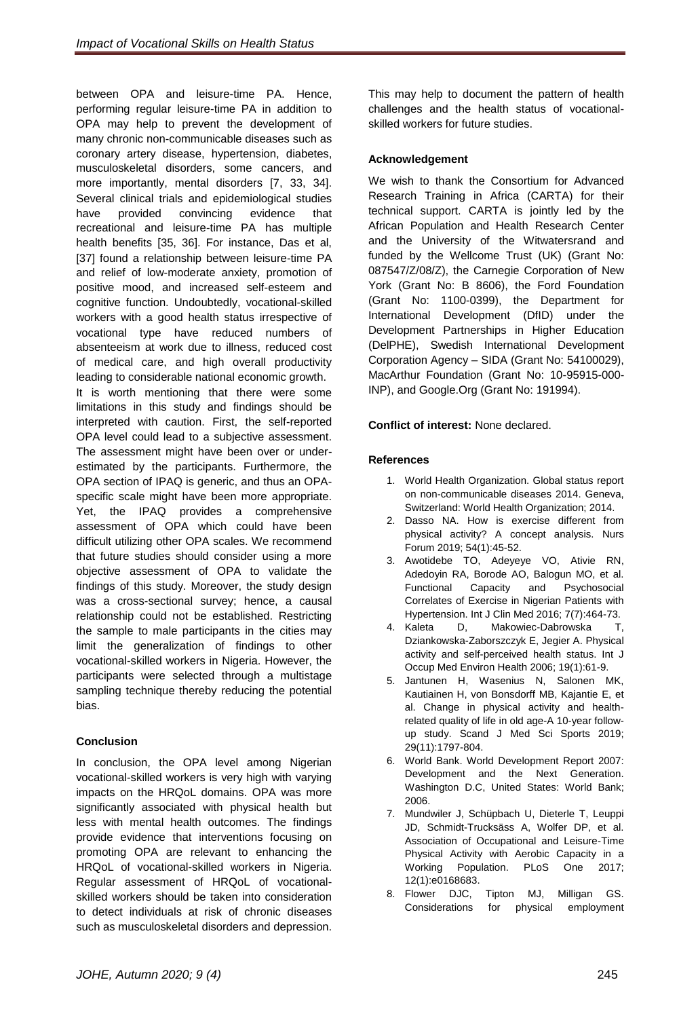between OPA and leisure-time PA. Hence, performing regular leisure-time PA in addition to OPA may help to prevent the development of many chronic non-communicable diseases such as coronary artery disease, hypertension, diabetes, musculoskeletal disorders, some cancers, and more importantly, mental disorders [7, 33, 34]. Several clinical trials and epidemiological studies have provided convincing evidence that recreational and leisure-time PA has multiple health benefits [35, 36]. For instance, Das et al, [37] found a relationship between leisure-time PA and relief of low-moderate anxiety, promotion of positive mood, and increased self-esteem and cognitive function. Undoubtedly, vocational-skilled workers with a good health status irrespective of vocational type have reduced numbers of absenteeism at work due to illness, reduced cost of medical care, and high overall productivity leading to considerable national economic growth. It is worth mentioning that there were some limitations in this study and findings should be interpreted with caution. First, the self-reported OPA level could lead to a subjective assessment. The assessment might have been over or underestimated by the participants. Furthermore, the OPA section of IPAQ is generic, and thus an OPAspecific scale might have been more appropriate. Yet, the IPAQ provides a comprehensive assessment of OPA which could have been difficult utilizing other OPA scales. We recommend that future studies should consider using a more objective assessment of OPA to validate the findings of this study. Moreover, the study design was a cross-sectional survey; hence, a causal relationship could not be established. Restricting the sample to male participants in the cities may limit the generalization of findings to other vocational-skilled workers in Nigeria. However, the participants were selected through a multistage sampling technique thereby reducing the potential bias.

## **Conclusion**

In conclusion, the OPA level among Nigerian vocational-skilled workers is very high with varying impacts on the HRQoL domains. OPA was more significantly associated with physical health but less with mental health outcomes. The findings provide evidence that interventions focusing on promoting OPA are relevant to enhancing the HRQoL of vocational-skilled workers in Nigeria. Regular assessment of HRQoL of vocationalskilled workers should be taken into consideration to detect individuals at risk of chronic diseases such as musculoskeletal disorders and depression.

This may help to document the pattern of health challenges and the health status of vocationalskilled workers for future studies.

#### **Acknowledgement**

We wish to thank the Consortium for Advanced Research Training in Africa (CARTA) for their technical support. CARTA is jointly led by the African Population and Health Research Center and the University of the Witwatersrand and funded by the Wellcome Trust (UK) (Grant No: 087547/Z/08/Z), the Carnegie Corporation of New York (Grant No: B 8606), the Ford Foundation (Grant No: 1100-0399), the Department for International Development (DfID) under the Development Partnerships in Higher Education (DelPHE), Swedish International Development Corporation Agency – SIDA (Grant No: 54100029), MacArthur Foundation (Grant No: 10-95915-000- INP), and Google.Org (Grant No: 191994).

#### **Conflict of interest:** None declared.

#### **References**

- 1. World Health Organization. Global status report on non-communicable diseases 2014. Geneva, Switzerland: World Health Organization; 2014.
- 2. Dasso NA. [How is exercise different from](https://pubmed.ncbi.nlm.nih.gov/30332516/)  [physical activity? A concept analysis.](https://pubmed.ncbi.nlm.nih.gov/30332516/) Nurs Forum 2019; 54(1):45-52.
- 3. Awotidebe TO, Adeyeye VO, Ativie RN, Adedoyin RA, Borode AO, Balogun MO, et al. Functional Capacity and Psychosocial Correlates of Exercise in Nigerian Patients with Hypertension. Int J Clin Med 2016; 7(7):464-73.
- 4. Kaleta D, Makowiec-Dabrowska T, Dziankowska-Zaborszczyk E, Jegier A. Physical activity and self-perceived health status. Int J Occup Med Environ Health 2006; 19(1):61-9.
- 5. Jantunen H, Wasenius N, Salonen MK, Kautiainen H, von Bonsdorff MB, Kajantie E, et al. Change in physical activity and healthrelated quality of life in old age-A 10-year followup study. Scand J Med Sci Sports 2019; 29(11):1797-804.
- 6. World Bank. World Development Report 2007: Development and the Next Generation. Washington D.C, [United States:](https://www.google.com/search?client=firefox-b-d&sxsrf=ALeKk00kzhI2GMblyvA3NMhARKG8u--OMw:1614580650686&q=Bretton+Woods&stick=H4sIAAAAAAAAAOPgE-LQz9U3sDTNS1HiBLGMLJLLC7VUs5Ot9POL0hPzMqsSSzLz81A4Vmn5pXkpqSmLWHmdilJLSvLzFMLz81OKd7AyAgB8ma5IUQAAAA&sa=X&ved=2ahUKEwiCr5TRvY7vAhU4UhUIHb76AmsQmxMoATAfegQIPhAD) World Bank; 2006.
- 7. Mundwiler J, Schüpbach U, Dieterle T, Leuppi JD, Schmidt-Trucksäss A, Wolfer DP, et al. Association of Occupational and Leisure-Time Physical Activity with Aerobic Capacity in a Working Population. PLoS One 2017; 12(1):e0168683.
- 8. Flower DJC, Tipton MJ, Milligan GS. Considerations for physical employment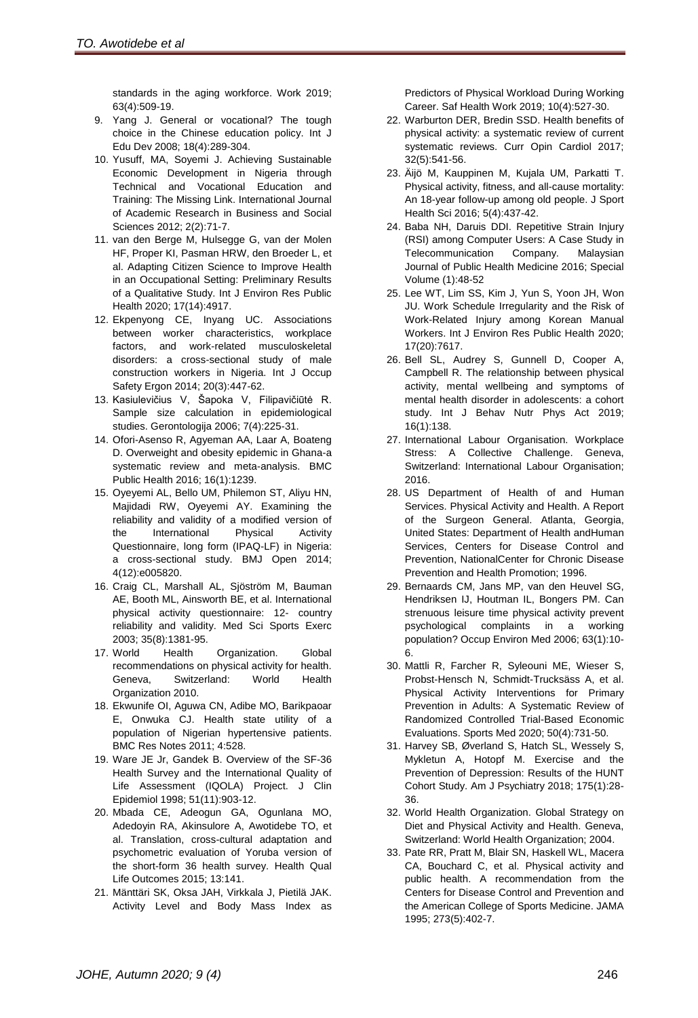standards in the aging workforce. Work 2019; 63(4):509-19.

- 9. Yang J. General or vocational? The tough choice in the Chinese education policy. Int J Edu Dev 2008; 18(4):289-304.
- 10. Yusuff, MA, Soyemi J. Achieving Sustainable Economic Development in Nigeria through Technical and Vocational Education and Training: The Missing Link. International Journal of Academic Research in Business and Social Sciences 2012; 2(2):71-7.
- 11. van den Berge M, Hulsegge G, van der Molen HF, Proper KI, Pasman HRW, den Broeder L, et al. Adapting Citizen Science to Improve Health in an Occupational Setting: Preliminary Results of a Qualitative Study. Int J Environ Res Public Health 2020; 17(14):4917.
- 12. Ekpenyong CE, Inyang UC. Associations between worker characteristics, workplace factors, and work-related musculoskeletal disorders: a cross-sectional study of male construction workers in Nigeria. Int J Occup Safety Ergon 2014; 20(3):447-62.
- 13. Kasiulevičius V, Šapoka V, Filipavičiūtė R. Sample size calculation in epidemiological studies. Gerontologija 2006; 7(4):225-31.
- 14. Ofori-Asenso R, Agyeman AA, Laar A, Boateng D. Overweight and obesity epidemic in Ghana-a systematic review and meta-analysis. BMC Public Health 2016; 16(1):1239.
- 15. Oyeyemi AL, Bello UM, Philemon ST, Aliyu HN, Majidadi RW, Oyeyemi AY. Examining the reliability and validity of a modified version of the International Physical Activity Questionnaire, long form (IPAQ-LF) in Nigeria: a cross-sectional study. BMJ Open 2014; 4(12):e005820.
- 16. Craig CL, Marshall AL, Sjöström M, Bauman AE, Booth ML, Ainsworth BE, et al. International physical activity questionnaire: 12- country reliability and validity. Med Sci Sports Exerc 2003; 35(8):1381-95.
- 17. World Health Organization. Global recommendations on physical activity for health. Geneva, Switzerland: World Health Organization 2010.
- 18. Ekwunife OI, Aguwa CN, Adibe MO, Barikpaoar E, Onwuka CJ. Health state utility of a population of Nigerian hypertensive patients. BMC Res Notes 2011; 4:528.
- 19. Ware JE Jr, Gandek B. Overview of the SF-36 Health Survey and the International Quality of Life Assessment (IQOLA) Project. J Clin Epidemiol 1998; 51(11):903-12.
- 20. Mbada CE, Adeogun GA, Ogunlana MO, Adedoyin RA, Akinsulore A, Awotidebe TO, et al. Translation, cross-cultural adaptation and psychometric evaluation of Yoruba version of the short-form 36 health survey. Health Qual Life Outcomes 2015; 13:141.
- 21. Mänttäri SK, Oksa JAH, Virkkala J, Pietilä JAK. Activity Level and Body Mass Index as

Predictors of Physical Workload During Working Career. Saf Health Work 2019; 10(4):527-30.

- 22. Warburton DER, Bredin SSD. Health benefits of physical activity: a systematic review of current systematic reviews. Curr Opin Cardiol 2017; 32(5):541-56.
- 23. Äijö M, Kauppinen M, Kujala UM, Parkatti T. Physical activity, fitness, and all-cause mortality: An 18-year follow-up among old people. J Sport Health Sci 2016; 5(4):437-42.
- 24. Baba NH, Daruis DDI. Repetitive Strain Injury (RSI) among Computer Users: A Case Study in Telecommunication Company. Malaysian Journal of Public Health Medicine 2016; Special Volume (1):48-52
- 25. Lee WT, Lim SS, Kim J, Yun S, Yoon JH, Won JU. Work Schedule Irregularity and the Risk of Work-Related Injury among Korean Manual Workers. Int J Environ Res Public Health 2020; 17(20):7617.
- 26. Bell SL, Audrey S, Gunnell D, Cooper A, Campbell R. The relationship between physical activity, mental wellbeing and symptoms of mental health disorder in adolescents: a cohort study. Int J Behav Nutr Phys Act 2019; 16(1):138.
- 27. International Labour Organisation. Workplace Stress: A Collective Challenge. [Geneva,](https://www.google.com/search?client=firefox-b-d&sxsrf=ALeKk01mp50kKQ_26XD5ZZv0pr51umve7Q:1615188884241&q=Geneva&stick=H4sIAAAAAAAAAOPgE-LQz9U3MC43LlKCsCwNjLS0spOt9POL0hPzMqsSSzLz81A4VhmpiSmFpYlFJalFxYtY2dxT81LLEnewMgIAsrXvYE4AAAA&sa=X&ved=2ahUKEwj2tsK9l6DvAhXORhUIHehbCiYQmxMoATAaegQILRAD)  [Switzerland:](https://www.google.com/search?client=firefox-b-d&sxsrf=ALeKk01mp50kKQ_26XD5ZZv0pr51umve7Q:1615188884241&q=Geneva&stick=H4sIAAAAAAAAAOPgE-LQz9U3MC43LlKCsCwNjLS0spOt9POL0hPzMqsSSzLz81A4VhmpiSmFpYlFJalFxYtY2dxT81LLEnewMgIAsrXvYE4AAAA&sa=X&ved=2ahUKEwj2tsK9l6DvAhXORhUIHehbCiYQmxMoATAaegQILRAD) International Labour Organisation; 2016.
- 28. US Department of Health of and Human Services. Physical Activity and Health. A Report of the Surgeon General. Atlanta, [Georgia,](https://en.wikipedia.org/wiki/Georgia_(U.S._state)) [United States:](https://en.wikipedia.org/wiki/United_States) Department of Health andHuman Services, Centers for Disease Control and Prevention, NationalCenter for Chronic Disease Prevention and Health Promotion; 1996.
- 29. Bernaards CM, Jans MP, van den Heuvel SG, Hendriksen IJ, Houtman IL, Bongers PM. Can strenuous leisure time physical activity prevent psychological complaints in a working population? Occup Environ Med 2006; 63(1):10- 6.
- 30. Mattli R, Farcher R, Syleouni ME, Wieser S, Probst-Hensch N, Schmidt-Trucksäss A, et al. Physical Activity Interventions for Primary Prevention in Adults: A Systematic Review of Randomized Controlled Trial-Based Economic Evaluations. Sports Med 2020; 50(4):731-50.
- 31. Harvey SB, Øverland S, Hatch SL, Wessely S, Mykletun A, Hotopf M. Exercise and the Prevention of Depression: Results of the HUNT Cohort Study. Am J Psychiatry 2018; 175(1):28- 36.
- 32. World Health Organization. Global Strategy on Diet and Physical Activity and Health. Geneva, Switzerland: World Health Organization; 2004.
- 33. Pate RR, Pratt M, Blair SN, Haskell WL, Macera CA, Bouchard C, et al. Physical activity and public health. A recommendation from the Centers for Disease Control and Prevention and the American College of Sports Medicine. JAMA 1995; 273(5):402-7.